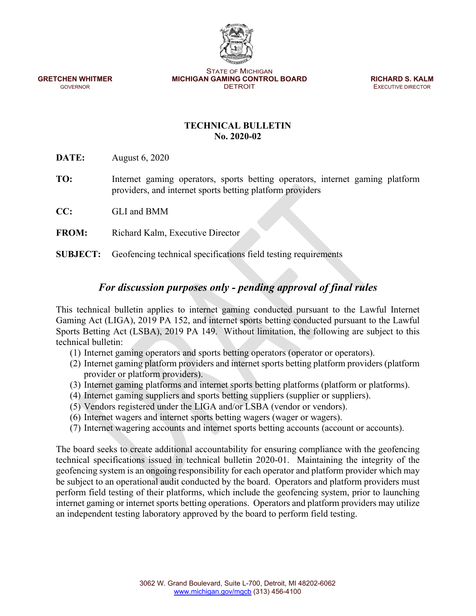STATE OF MICHIGAN **GRETCHEN WHITMER MICHIGAN GAMING CONTROL BOARD <b>RICHARD S. KALM GOVERNOR GOVERNOR CONTROL BOARD EXECUTIVE DIRECTOR** 

**EXECUTIVE DIRECTOR** 

## **TECHNICAL BULLETIN No. 2020-02**

**DATE:** August 6, 2020

- **TO:** Internet gaming operators, sports betting operators, internet gaming platform providers, and internet sports betting platform providers
- **CC:** GLI and BMM
- **FROM:** Richard Kalm, Executive Director

**SUBJECT:** Geofencing technical specifications field testing requirements

# *For discussion purposes only - pending approval of final rules*

This technical bulletin applies to internet gaming conducted pursuant to the Lawful Internet Gaming Act (LIGA), 2019 PA 152, and internet sports betting conducted pursuant to the Lawful Sports Betting Act (LSBA), 2019 PA 149. Without limitation, the following are subject to this technical bulletin:

- (1) Internet gaming operators and sports betting operators (operator or operators).
- (2) Internet gaming platform providers and internet sports betting platform providers (platform provider or platform providers).
- (3) Internet gaming platforms and internet sports betting platforms (platform or platforms).
- (4) Internet gaming suppliers and sports betting suppliers (supplier or suppliers).
- (5) Vendors registered under the LIGA and/or LSBA (vendor or vendors).
- (6) Internet wagers and internet sports betting wagers (wager or wagers).
- (7) Internet wagering accounts and internet sports betting accounts (account or accounts).

The board seeks to create additional accountability for ensuring compliance with the geofencing technical specifications issued in technical bulletin 2020-01. Maintaining the integrity of the geofencing system is an ongoing responsibility for each operator and platform provider which may be subject to an operational audit conducted by the board. Operators and platform providers must perform field testing of their platforms, which include the geofencing system, prior to launching internet gaming or internet sports betting operations. Operators and platform providers may utilize an independent testing laboratory approved by the board to perform field testing.

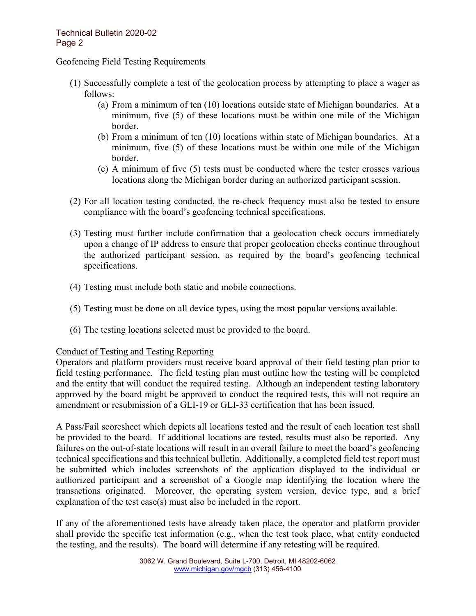#### Geofencing Field Testing Requirements

- (1) Successfully complete a test of the geolocation process by attempting to place a wager as follows:
	- (a) From a minimum of ten (10) locations outside state of Michigan boundaries. At a minimum, five (5) of these locations must be within one mile of the Michigan border.
	- (b) From a minimum of ten (10) locations within state of Michigan boundaries. At a minimum, five (5) of these locations must be within one mile of the Michigan border.
	- (c) A minimum of five (5) tests must be conducted where the tester crosses various locations along the Michigan border during an authorized participant session.
- (2) For all location testing conducted, the re-check frequency must also be tested to ensure compliance with the board's geofencing technical specifications.
- (3) Testing must further include confirmation that a geolocation check occurs immediately upon a change of IP address to ensure that proper geolocation checks continue throughout the authorized participant session, as required by the board's geofencing technical specifications.
- (4) Testing must include both static and mobile connections.
- (5) Testing must be done on all device types, using the most popular versions available.
- (6) The testing locations selected must be provided to the board.

#### Conduct of Testing and Testing Reporting

Operators and platform providers must receive board approval of their field testing plan prior to field testing performance. The field testing plan must outline how the testing will be completed and the entity that will conduct the required testing. Although an independent testing laboratory approved by the board might be approved to conduct the required tests, this will not require an amendment or resubmission of a GLI-19 or GLI-33 certification that has been issued.

A Pass/Fail scoresheet which depicts all locations tested and the result of each location test shall be provided to the board. If additional locations are tested, results must also be reported. Any failures on the out-of-state locations will result in an overall failure to meet the board's geofencing technical specifications and this technical bulletin. Additionally, a completed field test report must be submitted which includes screenshots of the application displayed to the individual or authorized participant and a screenshot of a Google map identifying the location where the transactions originated. Moreover, the operating system version, device type, and a brief explanation of the test case(s) must also be included in the report.

If any of the aforementioned tests have already taken place, the operator and platform provider shall provide the specific test information (e.g., when the test took place, what entity conducted the testing, and the results). The board will determine if any retesting will be required.